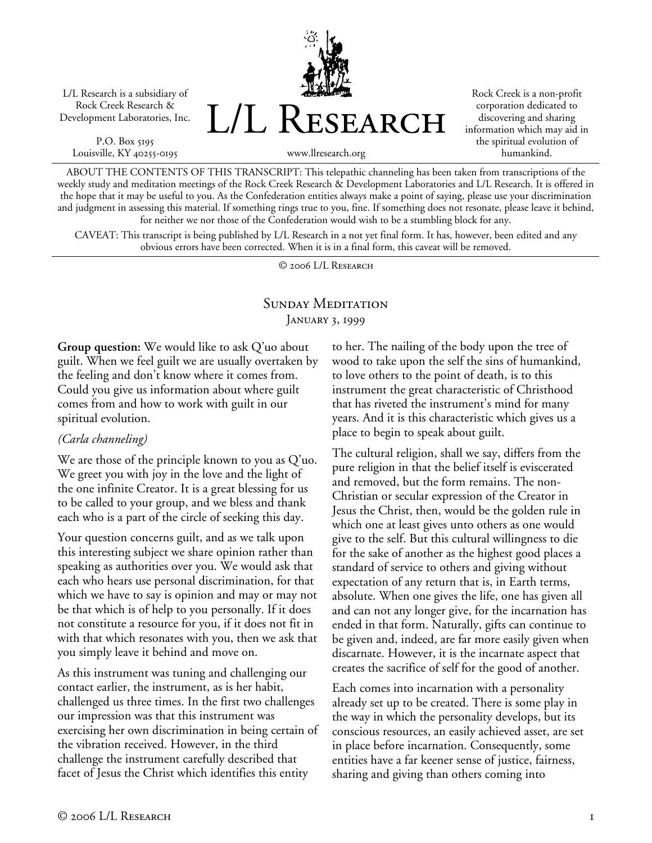L/L Research is a subsidiary of Rock Creek Research & Development Laboratories, Inc.

P.O. Box 5195 Louisville, KY 40255-0195 L/L Research

Rock Creek is a non-profit corporation dedicated to discovering and sharing information which may aid in the spiritual evolution of humankind.

www.llresearch.org

ABOUT THE CONTENTS OF THIS TRANSCRIPT: This telepathic channeling has been taken from transcriptions of the weekly study and meditation meetings of the Rock Creek Research & Development Laboratories and L/L Research. It is offered in the hope that it may be useful to you. As the Confederation entities always make a point of saying, please use your discrimination and judgment in assessing this material. If something rings true to you, fine. If something does not resonate, please leave it behind, for neither we nor those of the Confederation would wish to be a stumbling block for any.

CAVEAT: This transcript is being published by L/L Research in a not yet final form. It has, however, been edited and any obvious errors have been corrected. When it is in a final form, this caveat will be removed.

© 2006 L/L Research

## SUNDAY MEDITATION JANUARY 3, 1999

**Group question:** We would like to ask Q'uo about guilt. When we feel guilt we are usually overtaken by the feeling and don't know where it comes from. Could you give us information about where guilt comes from and how to work with guilt in our spiritual evolution.

## *(Carla channeling)*

We are those of the principle known to you as Q'uo. We greet you with joy in the love and the light of the one infinite Creator. It is a great blessing for us to be called to your group, and we bless and thank each who is a part of the circle of seeking this day.

Your question concerns guilt, and as we talk upon this interesting subject we share opinion rather than speaking as authorities over you. We would ask that each who hears use personal discrimination, for that which we have to say is opinion and may or may not be that which is of help to you personally. If it does not constitute a resource for you, if it does not fit in with that which resonates with you, then we ask that you simply leave it behind and move on.

As this instrument was tuning and challenging our contact earlier, the instrument, as is her habit, challenged us three times. In the first two challenges our impression was that this instrument was exercising her own discrimination in being certain of the vibration received. However, in the third challenge the instrument carefully described that facet of Jesus the Christ which identifies this entity

to her. The nailing of the body upon the tree of wood to take upon the self the sins of humankind, to love others to the point of death, is to this instrument the great characteristic of Christhood that has riveted the instrument's mind for many years. And it is this characteristic which gives us a place to begin to speak about guilt.

The cultural religion, shall we say, differs from the pure religion in that the belief itself is eviscerated and removed, but the form remains. The non-Christian or secular expression of the Creator in Jesus the Christ, then, would be the golden rule in which one at least gives unto others as one would give to the self. But this cultural willingness to die for the sake of another as the highest good places a standard of service to others and giving without expectation of any return that is, in Earth terms, absolute. When one gives the life, one has given all and can not any longer give, for the incarnation has ended in that form. Naturally, gifts can continue to be given and, indeed, are far more easily given when discarnate. However, it is the incarnate aspect that creates the sacrifice of self for the good of another.

Each comes into incarnation with a personality already set up to be created. There is some play in the way in which the personality develops, but its conscious resources, an easily achieved asset, are set in place before incarnation. Consequently, some entities have a far keener sense of justice, fairness, sharing and giving than others coming into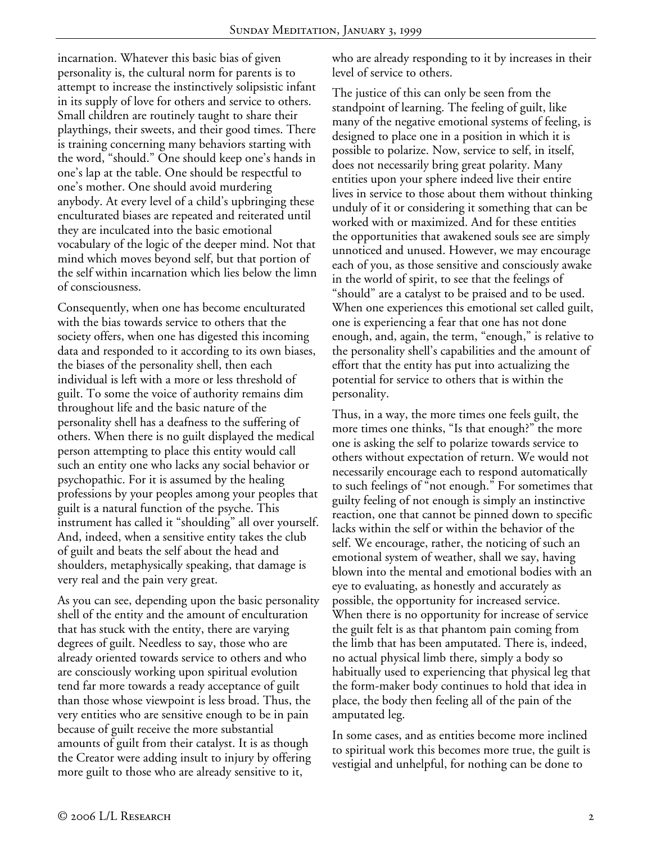incarnation. Whatever this basic bias of given personality is, the cultural norm for parents is to attempt to increase the instinctively solipsistic infant in its supply of love for others and service to others. Small children are routinely taught to share their playthings, their sweets, and their good times. There is training concerning many behaviors starting with the word, "should." One should keep one's hands in one's lap at the table. One should be respectful to one's mother. One should avoid murdering anybody. At every level of a child's upbringing these enculturated biases are repeated and reiterated until they are inculcated into the basic emotional vocabulary of the logic of the deeper mind. Not that mind which moves beyond self, but that portion of the self within incarnation which lies below the limn of consciousness.

Consequently, when one has become enculturated with the bias towards service to others that the society offers, when one has digested this incoming data and responded to it according to its own biases, the biases of the personality shell, then each individual is left with a more or less threshold of guilt. To some the voice of authority remains dim throughout life and the basic nature of the personality shell has a deafness to the suffering of others. When there is no guilt displayed the medical person attempting to place this entity would call such an entity one who lacks any social behavior or psychopathic. For it is assumed by the healing professions by your peoples among your peoples that guilt is a natural function of the psyche. This instrument has called it "shoulding" all over yourself. And, indeed, when a sensitive entity takes the club of guilt and beats the self about the head and shoulders, metaphysically speaking, that damage is very real and the pain very great.

As you can see, depending upon the basic personality shell of the entity and the amount of enculturation that has stuck with the entity, there are varying degrees of guilt. Needless to say, those who are already oriented towards service to others and who are consciously working upon spiritual evolution tend far more towards a ready acceptance of guilt than those whose viewpoint is less broad. Thus, the very entities who are sensitive enough to be in pain because of guilt receive the more substantial amounts of guilt from their catalyst. It is as though the Creator were adding insult to injury by offering more guilt to those who are already sensitive to it,

who are already responding to it by increases in their level of service to others.

The justice of this can only be seen from the standpoint of learning. The feeling of guilt, like many of the negative emotional systems of feeling, is designed to place one in a position in which it is possible to polarize. Now, service to self, in itself, does not necessarily bring great polarity. Many entities upon your sphere indeed live their entire lives in service to those about them without thinking unduly of it or considering it something that can be worked with or maximized. And for these entities the opportunities that awakened souls see are simply unnoticed and unused. However, we may encourage each of you, as those sensitive and consciously awake in the world of spirit, to see that the feelings of "should" are a catalyst to be praised and to be used. When one experiences this emotional set called guilt, one is experiencing a fear that one has not done enough, and, again, the term, "enough," is relative to the personality shell's capabilities and the amount of effort that the entity has put into actualizing the potential for service to others that is within the personality.

Thus, in a way, the more times one feels guilt, the more times one thinks, "Is that enough?" the more one is asking the self to polarize towards service to others without expectation of return. We would not necessarily encourage each to respond automatically to such feelings of "not enough." For sometimes that guilty feeling of not enough is simply an instinctive reaction, one that cannot be pinned down to specific lacks within the self or within the behavior of the self. We encourage, rather, the noticing of such an emotional system of weather, shall we say, having blown into the mental and emotional bodies with an eye to evaluating, as honestly and accurately as possible, the opportunity for increased service. When there is no opportunity for increase of service the guilt felt is as that phantom pain coming from the limb that has been amputated. There is, indeed, no actual physical limb there, simply a body so habitually used to experiencing that physical leg that the form-maker body continues to hold that idea in place, the body then feeling all of the pain of the amputated leg.

In some cases, and as entities become more inclined to spiritual work this becomes more true, the guilt is vestigial and unhelpful, for nothing can be done to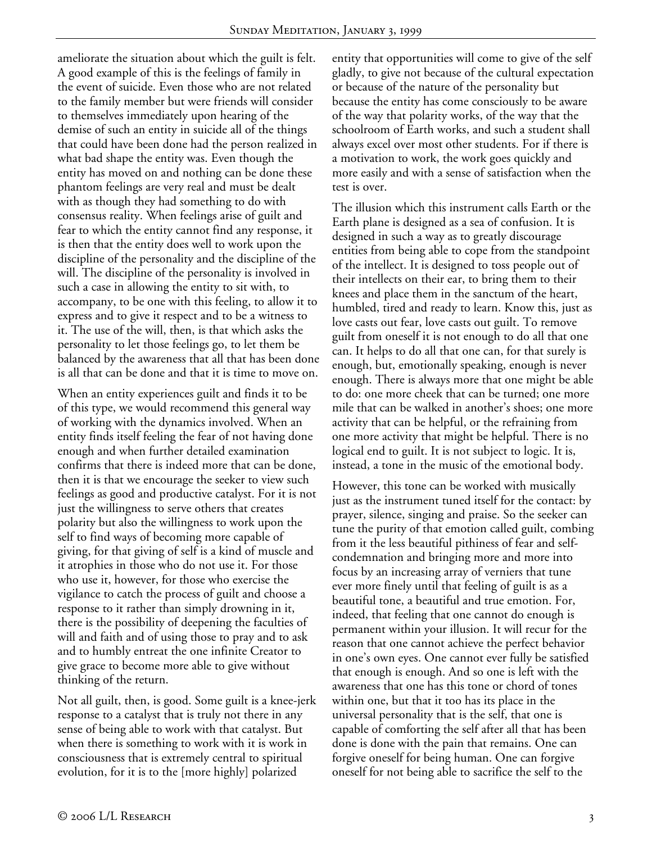ameliorate the situation about which the guilt is felt. A good example of this is the feelings of family in the event of suicide. Even those who are not related to the family member but were friends will consider to themselves immediately upon hearing of the demise of such an entity in suicide all of the things that could have been done had the person realized in what bad shape the entity was. Even though the entity has moved on and nothing can be done these phantom feelings are very real and must be dealt with as though they had something to do with consensus reality. When feelings arise of guilt and fear to which the entity cannot find any response, it is then that the entity does well to work upon the discipline of the personality and the discipline of the will. The discipline of the personality is involved in such a case in allowing the entity to sit with, to accompany, to be one with this feeling, to allow it to express and to give it respect and to be a witness to it. The use of the will, then, is that which asks the personality to let those feelings go, to let them be balanced by the awareness that all that has been done is all that can be done and that it is time to move on.

When an entity experiences guilt and finds it to be of this type, we would recommend this general way of working with the dynamics involved. When an entity finds itself feeling the fear of not having done enough and when further detailed examination confirms that there is indeed more that can be done, then it is that we encourage the seeker to view such feelings as good and productive catalyst. For it is not just the willingness to serve others that creates polarity but also the willingness to work upon the self to find ways of becoming more capable of giving, for that giving of self is a kind of muscle and it atrophies in those who do not use it. For those who use it, however, for those who exercise the vigilance to catch the process of guilt and choose a response to it rather than simply drowning in it, there is the possibility of deepening the faculties of will and faith and of using those to pray and to ask and to humbly entreat the one infinite Creator to give grace to become more able to give without thinking of the return.

Not all guilt, then, is good. Some guilt is a knee-jerk response to a catalyst that is truly not there in any sense of being able to work with that catalyst. But when there is something to work with it is work in consciousness that is extremely central to spiritual evolution, for it is to the [more highly] polarized

entity that opportunities will come to give of the self gladly, to give not because of the cultural expectation or because of the nature of the personality but because the entity has come consciously to be aware of the way that polarity works, of the way that the schoolroom of Earth works, and such a student shall always excel over most other students. For if there is a motivation to work, the work goes quickly and more easily and with a sense of satisfaction when the test is over.

The illusion which this instrument calls Earth or the Earth plane is designed as a sea of confusion. It is designed in such a way as to greatly discourage entities from being able to cope from the standpoint of the intellect. It is designed to toss people out of their intellects on their ear, to bring them to their knees and place them in the sanctum of the heart, humbled, tired and ready to learn. Know this, just as love casts out fear, love casts out guilt. To remove guilt from oneself it is not enough to do all that one can. It helps to do all that one can, for that surely is enough, but, emotionally speaking, enough is never enough. There is always more that one might be able to do: one more cheek that can be turned; one more mile that can be walked in another's shoes; one more activity that can be helpful, or the refraining from one more activity that might be helpful. There is no logical end to guilt. It is not subject to logic. It is, instead, a tone in the music of the emotional body.

However, this tone can be worked with musically just as the instrument tuned itself for the contact: by prayer, silence, singing and praise. So the seeker can tune the purity of that emotion called guilt, combing from it the less beautiful pithiness of fear and selfcondemnation and bringing more and more into focus by an increasing array of verniers that tune ever more finely until that feeling of guilt is as a beautiful tone, a beautiful and true emotion. For, indeed, that feeling that one cannot do enough is permanent within your illusion. It will recur for the reason that one cannot achieve the perfect behavior in one's own eyes. One cannot ever fully be satisfied that enough is enough. And so one is left with the awareness that one has this tone or chord of tones within one, but that it too has its place in the universal personality that is the self, that one is capable of comforting the self after all that has been done is done with the pain that remains. One can forgive oneself for being human. One can forgive oneself for not being able to sacrifice the self to the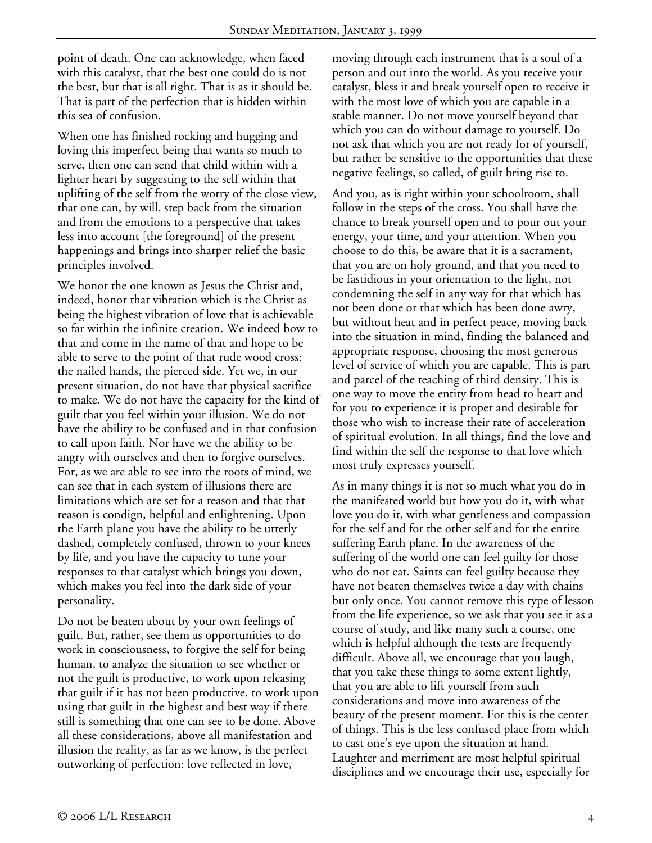point of death. One can acknowledge, when faced with this catalyst, that the best one could do is not the best, but that is all right. That is as it should be. That is part of the perfection that is hidden within this sea of confusion.

When one has finished rocking and hugging and loving this imperfect being that wants so much to serve, then one can send that child within with a lighter heart by suggesting to the self within that uplifting of the self from the worry of the close view, that one can, by will, step back from the situation and from the emotions to a perspective that takes less into account [the foreground] of the present happenings and brings into sharper relief the basic principles involved.

We honor the one known as Jesus the Christ and, indeed, honor that vibration which is the Christ as being the highest vibration of love that is achievable so far within the infinite creation. We indeed bow to that and come in the name of that and hope to be able to serve to the point of that rude wood cross: the nailed hands, the pierced side. Yet we, in our present situation, do not have that physical sacrifice to make. We do not have the capacity for the kind of guilt that you feel within your illusion. We do not have the ability to be confused and in that confusion to call upon faith. Nor have we the ability to be angry with ourselves and then to forgive ourselves. For, as we are able to see into the roots of mind, we can see that in each system of illusions there are limitations which are set for a reason and that that reason is condign, helpful and enlightening. Upon the Earth plane you have the ability to be utterly dashed, completely confused, thrown to your knees by life, and you have the capacity to tune your responses to that catalyst which brings you down, which makes you feel into the dark side of your personality.

Do not be beaten about by your own feelings of guilt. But, rather, see them as opportunities to do work in consciousness, to forgive the self for being human, to analyze the situation to see whether or not the guilt is productive, to work upon releasing that guilt if it has not been productive, to work upon using that guilt in the highest and best way if there still is something that one can see to be done. Above all these considerations, above all manifestation and illusion the reality, as far as we know, is the perfect outworking of perfection: love reflected in love,

moving through each instrument that is a soul of a person and out into the world. As you receive your catalyst, bless it and break yourself open to receive it with the most love of which you are capable in a stable manner. Do not move yourself beyond that which you can do without damage to yourself. Do not ask that which you are not ready for of yourself, but rather be sensitive to the opportunities that these negative feelings, so called, of guilt bring rise to.

And you, as is right within your schoolroom, shall follow in the steps of the cross. You shall have the chance to break yourself open and to pour out your energy, your time, and your attention. When you choose to do this, be aware that it is a sacrament, that you are on holy ground, and that you need to be fastidious in your orientation to the light, not condemning the self in any way for that which has not been done or that which has been done awry, but without heat and in perfect peace, moving back into the situation in mind, finding the balanced and appropriate response, choosing the most generous level of service of which you are capable. This is part and parcel of the teaching of third density. This is one way to move the entity from head to heart and for you to experience it is proper and desirable for those who wish to increase their rate of acceleration of spiritual evolution. In all things, find the love and find within the self the response to that love which most truly expresses yourself.

As in many things it is not so much what you do in the manifested world but how you do it, with what love you do it, with what gentleness and compassion for the self and for the other self and for the entire suffering Earth plane. In the awareness of the suffering of the world one can feel guilty for those who do not eat. Saints can feel guilty because they have not beaten themselves twice a day with chains but only once. You cannot remove this type of lesson from the life experience, so we ask that you see it as a course of study, and like many such a course, one which is helpful although the tests are frequently difficult. Above all, we encourage that you laugh, that you take these things to some extent lightly, that you are able to lift yourself from such considerations and move into awareness of the beauty of the present moment. For this is the center of things. This is the less confused place from which to cast one's eye upon the situation at hand. Laughter and merriment are most helpful spiritual disciplines and we encourage their use, especially for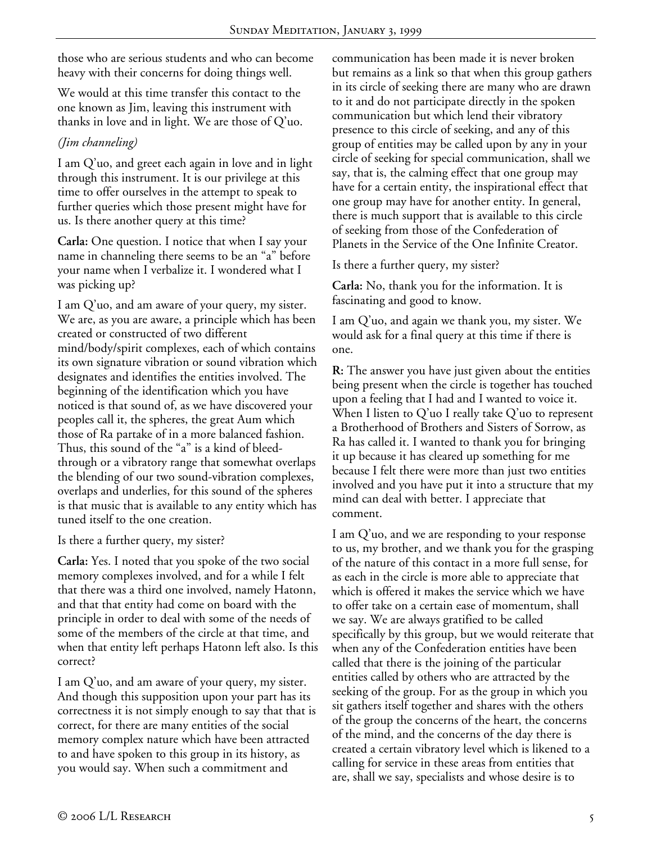those who are serious students and who can become heavy with their concerns for doing things well.

We would at this time transfer this contact to the one known as Jim, leaving this instrument with thanks in love and in light. We are those of Q'uo.

## *(Jim channeling)*

I am Q'uo, and greet each again in love and in light through this instrument. It is our privilege at this time to offer ourselves in the attempt to speak to further queries which those present might have for us. Is there another query at this time?

**Carla:** One question. I notice that when I say your name in channeling there seems to be an "a" before your name when I verbalize it. I wondered what I was picking up?

I am Q'uo, and am aware of your query, my sister. We are, as you are aware, a principle which has been created or constructed of two different mind/body/spirit complexes, each of which contains its own signature vibration or sound vibration which designates and identifies the entities involved. The beginning of the identification which you have noticed is that sound of, as we have discovered your peoples call it, the spheres, the great Aum which those of Ra partake of in a more balanced fashion. Thus, this sound of the "a" is a kind of bleedthrough or a vibratory range that somewhat overlaps the blending of our two sound-vibration complexes, overlaps and underlies, for this sound of the spheres is that music that is available to any entity which has tuned itself to the one creation.

Is there a further query, my sister?

**Carla:** Yes. I noted that you spoke of the two social memory complexes involved, and for a while I felt that there was a third one involved, namely Hatonn, and that that entity had come on board with the principle in order to deal with some of the needs of some of the members of the circle at that time, and when that entity left perhaps Hatonn left also. Is this correct?

I am Q'uo, and am aware of your query, my sister. And though this supposition upon your part has its correctness it is not simply enough to say that that is correct, for there are many entities of the social memory complex nature which have been attracted to and have spoken to this group in its history, as you would say. When such a commitment and

communication has been made it is never broken but remains as a link so that when this group gathers in its circle of seeking there are many who are drawn to it and do not participate directly in the spoken communication but which lend their vibratory presence to this circle of seeking, and any of this group of entities may be called upon by any in your circle of seeking for special communication, shall we say, that is, the calming effect that one group may have for a certain entity, the inspirational effect that one group may have for another entity. In general, there is much support that is available to this circle of seeking from those of the Confederation of Planets in the Service of the One Infinite Creator.

Is there a further query, my sister?

**Carla:** No, thank you for the information. It is fascinating and good to know.

I am Q'uo, and again we thank you, my sister. We would ask for a final query at this time if there is one.

**R:** The answer you have just given about the entities being present when the circle is together has touched upon a feeling that I had and I wanted to voice it. When I listen to Q'uo I really take Q'uo to represent a Brotherhood of Brothers and Sisters of Sorrow, as Ra has called it. I wanted to thank you for bringing it up because it has cleared up something for me because I felt there were more than just two entities involved and you have put it into a structure that my mind can deal with better. I appreciate that comment.

I am Q'uo, and we are responding to your response to us, my brother, and we thank you for the grasping of the nature of this contact in a more full sense, for as each in the circle is more able to appreciate that which is offered it makes the service which we have to offer take on a certain ease of momentum, shall we say. We are always gratified to be called specifically by this group, but we would reiterate that when any of the Confederation entities have been called that there is the joining of the particular entities called by others who are attracted by the seeking of the group. For as the group in which you sit gathers itself together and shares with the others of the group the concerns of the heart, the concerns of the mind, and the concerns of the day there is created a certain vibratory level which is likened to a calling for service in these areas from entities that are, shall we say, specialists and whose desire is to